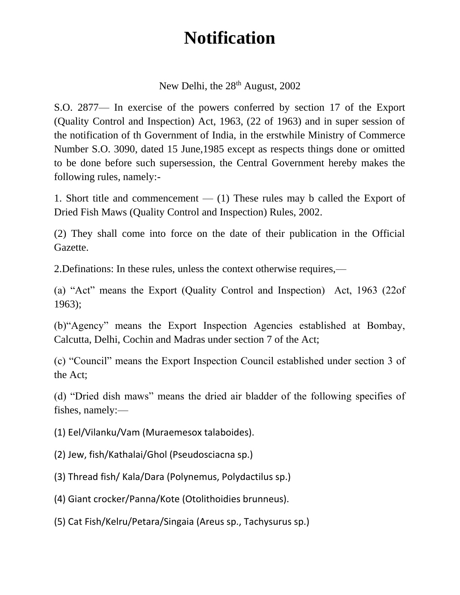## **Notification**

New Delhi, the 28<sup>th</sup> August, 2002

S.O. 2877— In exercise of the powers conferred by section 17 of the Export (Quality Control and Inspection) Act, 1963, (22 of 1963) and in super session of the notification of th Government of India, in the erstwhile Ministry of Commerce Number S.O. 3090, dated 15 June,1985 except as respects things done or omitted to be done before such supersession, the Central Government hereby makes the following rules, namely:-

1. Short title and commencement  $-$  (1) These rules may b called the Export of Dried Fish Maws (Quality Control and Inspection) Rules, 2002.

(2) They shall come into force on the date of their publication in the Official Gazette.

2.Definations: In these rules, unless the context otherwise requires,—

(a) "Act" means the Export (Quality Control and Inspection) Act, 1963 (22of 1963);

(b)"Agency" means the Export Inspection Agencies established at Bombay, Calcutta, Delhi, Cochin and Madras under section 7 of the Act;

(c) "Council" means the Export Inspection Council established under section 3 of the Act;

(d) "Dried dish maws" means the dried air bladder of the following specifies of fishes, namely:—

(1) Eel/Vilanku/Vam (Muraemesox talaboides).

(2) Jew, fish/Kathalai/Ghol (Pseudosciacna sp.)

(3) Thread fish/ Kala/Dara (Polynemus, Polydactilus sp.)

(4) Giant crocker/Panna/Kote (Otolithoidies brunneus).

(5) Cat Fish/Kelru/Petara/Singaia (Areus sp., Tachysurus sp.)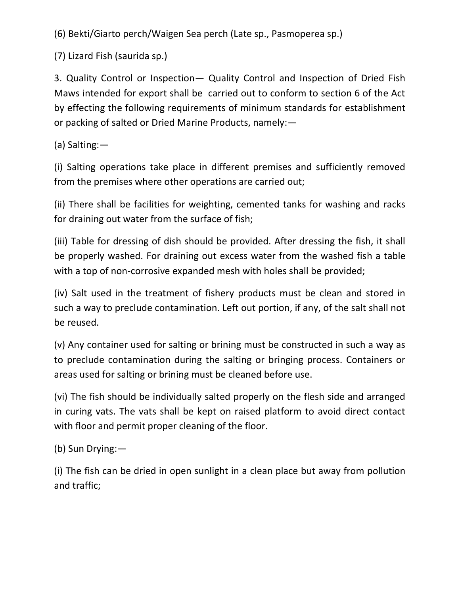(6) Bekti/Giarto perch/Waigen Sea perch (Late sp., Pasmoperea sp.)

(7) Lizard Fish (saurida sp.)

3. Quality Control or Inspection— Quality Control and Inspection of Dried Fish Maws intended for export shall be carried out to conform to section 6 of the Act by effecting the following requirements of minimum standards for establishment or packing of salted or Dried Marine Products, namely:—

(a) Salting:—

(i) Salting operations take place in different premises and sufficiently removed from the premises where other operations are carried out;

(ii) There shall be facilities for weighting, cemented tanks for washing and racks for draining out water from the surface of fish;

(iii) Table for dressing of dish should be provided. After dressing the fish, it shall be properly washed. For draining out excess water from the washed fish a table with a top of non-corrosive expanded mesh with holes shall be provided;

(iv) Salt used in the treatment of fishery products must be clean and stored in such a way to preclude contamination. Left out portion, if any, of the salt shall not be reused.

(v) Any container used for salting or brining must be constructed in such a way as to preclude contamination during the salting or bringing process. Containers or areas used for salting or brining must be cleaned before use.

(vi) The fish should be individually salted properly on the flesh side and arranged in curing vats. The vats shall be kept on raised platform to avoid direct contact with floor and permit proper cleaning of the floor.

(b) Sun Drying:—

(i) The fish can be dried in open sunlight in a clean place but away from pollution and traffic;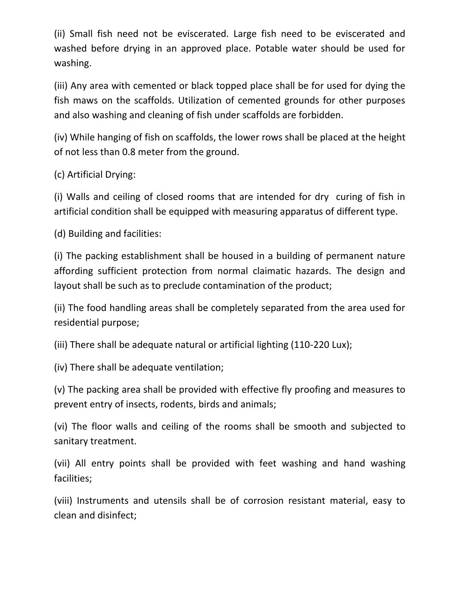(ii) Small fish need not be eviscerated. Large fish need to be eviscerated and washed before drying in an approved place. Potable water should be used for washing.

(iii) Any area with cemented or black topped place shall be for used for dying the fish maws on the scaffolds. Utilization of cemented grounds for other purposes and also washing and cleaning of fish under scaffolds are forbidden.

(iv) While hanging of fish on scaffolds, the lower rows shall be placed at the height of not less than 0.8 meter from the ground.

(c) Artificial Drying:

(i) Walls and ceiling of closed rooms that are intended for dry curing of fish in artificial condition shall be equipped with measuring apparatus of different type.

(d) Building and facilities:

(i) The packing establishment shall be housed in a building of permanent nature affording sufficient protection from normal claimatic hazards. The design and layout shall be such as to preclude contamination of the product;

(ii) The food handling areas shall be completely separated from the area used for residential purpose;

(iii) There shall be adequate natural or artificial lighting (110-220 Lux);

(iv) There shall be adequate ventilation;

(v) The packing area shall be provided with effective fly proofing and measures to prevent entry of insects, rodents, birds and animals;

(vi) The floor walls and ceiling of the rooms shall be smooth and subjected to sanitary treatment.

(vii) All entry points shall be provided with feet washing and hand washing facilities;

(viii) Instruments and utensils shall be of corrosion resistant material, easy to clean and disinfect;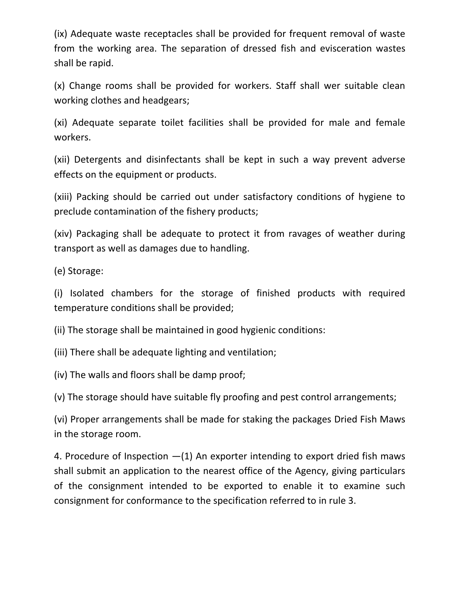(ix) Adequate waste receptacles shall be provided for frequent removal of waste from the working area. The separation of dressed fish and evisceration wastes shall be rapid.

(x) Change rooms shall be provided for workers. Staff shall wer suitable clean working clothes and headgears;

(xi) Adequate separate toilet facilities shall be provided for male and female workers.

(xii) Detergents and disinfectants shall be kept in such a way prevent adverse effects on the equipment or products.

(xiii) Packing should be carried out under satisfactory conditions of hygiene to preclude contamination of the fishery products;

(xiv) Packaging shall be adequate to protect it from ravages of weather during transport as well as damages due to handling.

(e) Storage:

(i) Isolated chambers for the storage of finished products with required temperature conditions shall be provided;

(ii) The storage shall be maintained in good hygienic conditions:

(iii) There shall be adequate lighting and ventilation;

(iv) The walls and floors shall be damp proof;

(v) The storage should have suitable fly proofing and pest control arrangements;

(vi) Proper arrangements shall be made for staking the packages Dried Fish Maws in the storage room.

4. Procedure of Inspection  $-(1)$  An exporter intending to export dried fish maws shall submit an application to the nearest office of the Agency, giving particulars of the consignment intended to be exported to enable it to examine such consignment for conformance to the specification referred to in rule 3.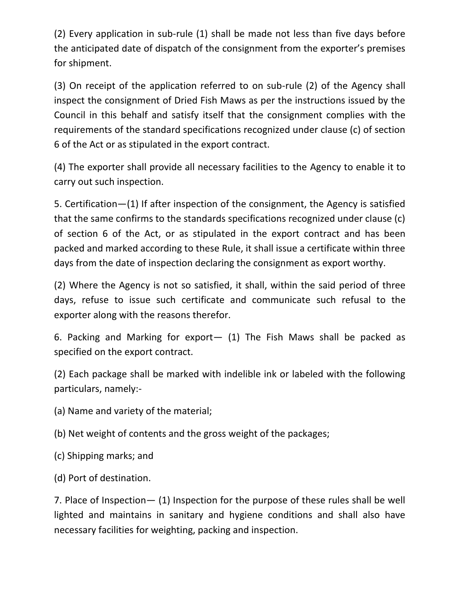(2) Every application in sub-rule (1) shall be made not less than five days before the anticipated date of dispatch of the consignment from the exporter's premises for shipment.

(3) On receipt of the application referred to on sub-rule (2) of the Agency shall inspect the consignment of Dried Fish Maws as per the instructions issued by the Council in this behalf and satisfy itself that the consignment complies with the requirements of the standard specifications recognized under clause (c) of section 6 of the Act or as stipulated in the export contract.

(4) The exporter shall provide all necessary facilities to the Agency to enable it to carry out such inspection.

5. Certification—(1) If after inspection of the consignment, the Agency is satisfied that the same confirms to the standards specifications recognized under clause (c) of section 6 of the Act, or as stipulated in the export contract and has been packed and marked according to these Rule, it shall issue a certificate within three days from the date of inspection declaring the consignment as export worthy.

(2) Where the Agency is not so satisfied, it shall, within the said period of three days, refuse to issue such certificate and communicate such refusal to the exporter along with the reasons therefor.

6. Packing and Marking for export— (1) The Fish Maws shall be packed as specified on the export contract.

(2) Each package shall be marked with indelible ink or labeled with the following particulars, namely:-

(a) Name and variety of the material;

(b) Net weight of contents and the gross weight of the packages;

(c) Shipping marks; and

(d) Port of destination.

7. Place of Inspection— (1) Inspection for the purpose of these rules shall be well lighted and maintains in sanitary and hygiene conditions and shall also have necessary facilities for weighting, packing and inspection.